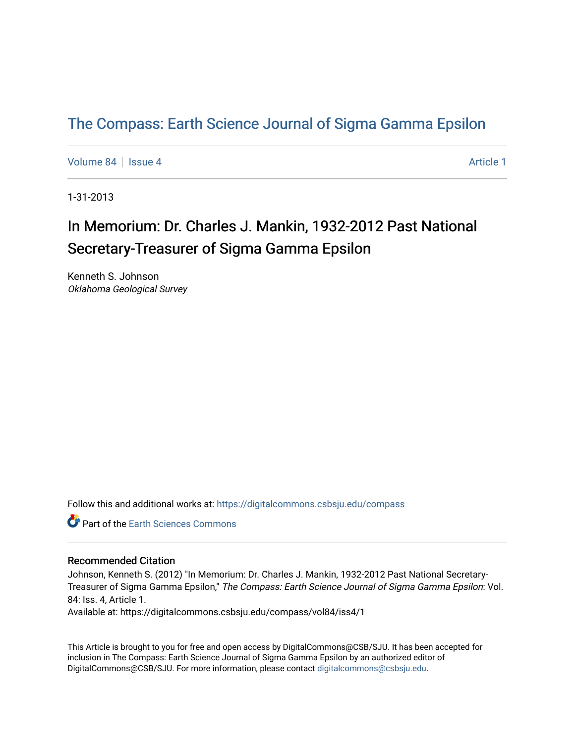### [The Compass: Earth Science Journal of Sigma Gamma Epsilon](https://digitalcommons.csbsju.edu/compass)

[Volume 84](https://digitalcommons.csbsju.edu/compass/vol84) | [Issue 4](https://digitalcommons.csbsju.edu/compass/vol84/iss4) Article 1

1-31-2013

# In Memorium: Dr. Charles J. Mankin, 1932-2012 Past National Secretary-Treasurer of Sigma Gamma Epsilon

Kenneth S. Johnson Oklahoma Geological Survey

Follow this and additional works at: [https://digitalcommons.csbsju.edu/compass](https://digitalcommons.csbsju.edu/compass?utm_source=digitalcommons.csbsju.edu%2Fcompass%2Fvol84%2Fiss4%2F1&utm_medium=PDF&utm_campaign=PDFCoverPages)

**C** Part of the Earth Sciences Commons

#### Recommended Citation

Johnson, Kenneth S. (2012) "In Memorium: Dr. Charles J. Mankin, 1932-2012 Past National Secretary-Treasurer of Sigma Gamma Epsilon," The Compass: Earth Science Journal of Sigma Gamma Epsilon: Vol. 84: Iss. 4, Article 1.

Available at: https://digitalcommons.csbsju.edu/compass/vol84/iss4/1

This Article is brought to you for free and open access by DigitalCommons@CSB/SJU. It has been accepted for inclusion in The Compass: Earth Science Journal of Sigma Gamma Epsilon by an authorized editor of DigitalCommons@CSB/SJU. For more information, please contact [digitalcommons@csbsju.edu](mailto:digitalcommons@csbsju.edu).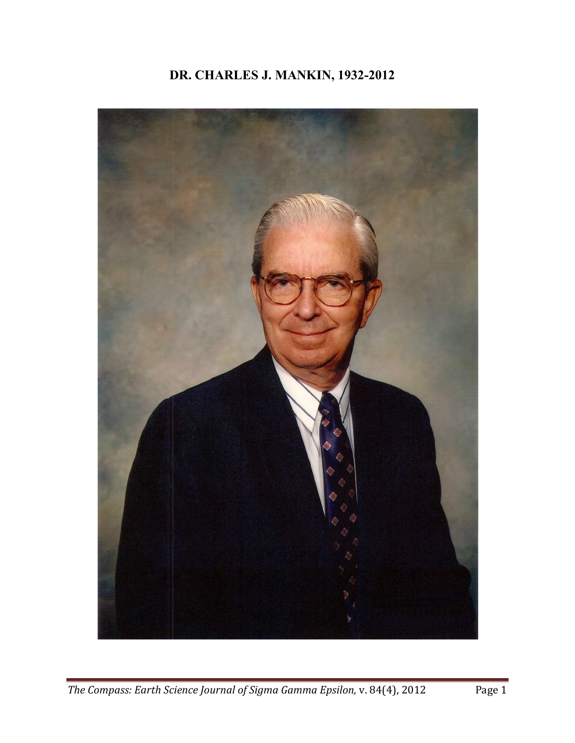## **DR. CHARLES J. MANKIN, 1932-2012**

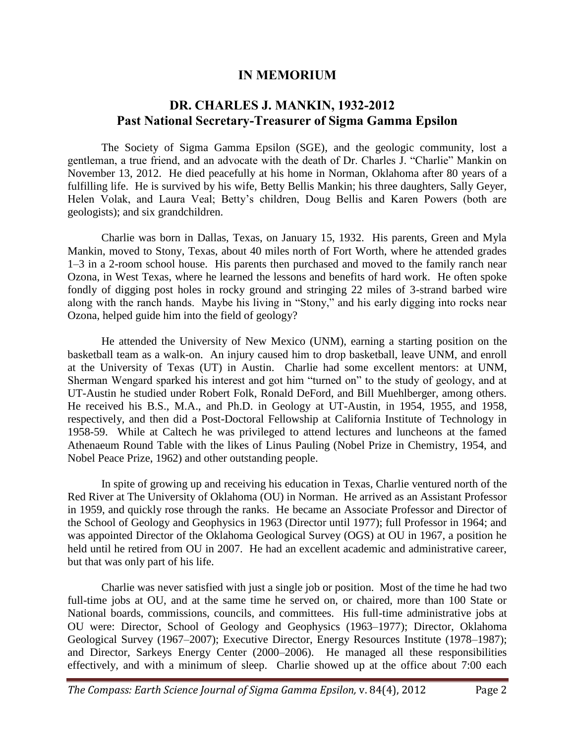#### **IN MEMORIUM**

### **DR. CHARLES J. MANKIN, 1932-2012 Past National Secretary-Treasurer of Sigma Gamma Epsilon**

The Society of Sigma Gamma Epsilon (SGE), and the geologic community, lost a gentleman, a true friend, and an advocate with the death of Dr. Charles J. "Charlie" Mankin on November 13, 2012. He died peacefully at his home in Norman, Oklahoma after 80 years of a fulfilling life. He is survived by his wife, Betty Bellis Mankin; his three daughters, Sally Geyer, Helen Volak, and Laura Veal; Betty's children, Doug Bellis and Karen Powers (both are geologists); and six grandchildren.

Charlie was born in Dallas, Texas, on January 15, 1932. His parents, Green and Myla Mankin, moved to Stony, Texas, about 40 miles north of Fort Worth, where he attended grades 1–3 in a 2-room school house. His parents then purchased and moved to the family ranch near Ozona, in West Texas, where he learned the lessons and benefits of hard work. He often spoke fondly of digging post holes in rocky ground and stringing 22 miles of 3-strand barbed wire along with the ranch hands. Maybe his living in "Stony," and his early digging into rocks near Ozona, helped guide him into the field of geology?

He attended the University of New Mexico (UNM), earning a starting position on the basketball team as a walk-on. An injury caused him to drop basketball, leave UNM, and enroll at the University of Texas (UT) in Austin. Charlie had some excellent mentors: at UNM, Sherman Wengard sparked his interest and got him "turned on" to the study of geology, and at UT-Austin he studied under Robert Folk, Ronald DeFord, and Bill Muehlberger, among others. He received his B.S., M.A., and Ph.D. in Geology at UT-Austin, in 1954, 1955, and 1958, respectively, and then did a Post-Doctoral Fellowship at California Institute of Technology in 1958-59. While at Caltech he was privileged to attend lectures and luncheons at the famed Athenaeum Round Table with the likes of Linus Pauling (Nobel Prize in Chemistry, 1954, and Nobel Peace Prize, 1962) and other outstanding people.

In spite of growing up and receiving his education in Texas, Charlie ventured north of the Red River at The University of Oklahoma (OU) in Norman. He arrived as an Assistant Professor in 1959, and quickly rose through the ranks. He became an Associate Professor and Director of the School of Geology and Geophysics in 1963 (Director until 1977); full Professor in 1964; and was appointed Director of the Oklahoma Geological Survey (OGS) at OU in 1967, a position he held until he retired from OU in 2007. He had an excellent academic and administrative career, but that was only part of his life.

Charlie was never satisfied with just a single job or position. Most of the time he had two full-time jobs at OU, and at the same time he served on, or chaired, more than 100 State or National boards, commissions, councils, and committees. His full-time administrative jobs at OU were: Director, School of Geology and Geophysics (1963–1977); Director, Oklahoma Geological Survey (1967–2007); Executive Director, Energy Resources Institute (1978–1987); and Director, Sarkeys Energy Center (2000–2006). He managed all these responsibilities effectively, and with a minimum of sleep. Charlie showed up at the office about 7:00 each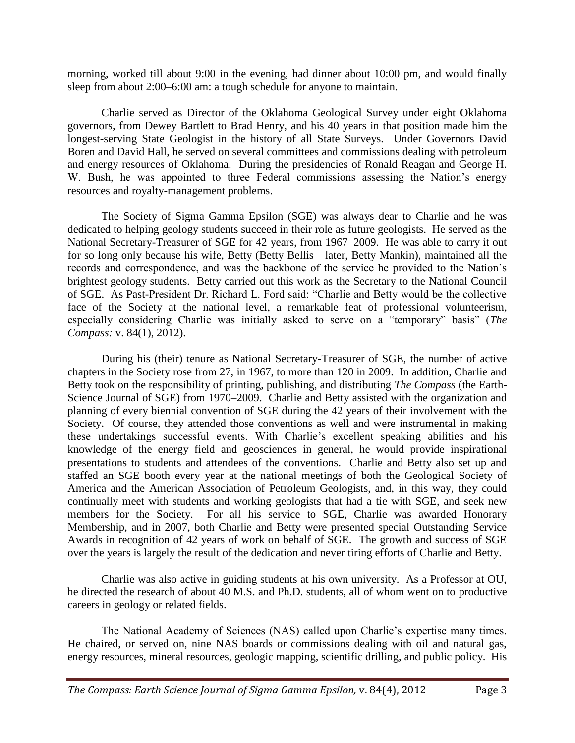morning, worked till about 9:00 in the evening, had dinner about 10:00 pm, and would finally sleep from about 2:00–6:00 am: a tough schedule for anyone to maintain.

Charlie served as Director of the Oklahoma Geological Survey under eight Oklahoma governors, from Dewey Bartlett to Brad Henry, and his 40 years in that position made him the longest-serving State Geologist in the history of all State Surveys. Under Governors David Boren and David Hall, he served on several committees and commissions dealing with petroleum and energy resources of Oklahoma. During the presidencies of Ronald Reagan and George H. W. Bush, he was appointed to three Federal commissions assessing the Nation's energy resources and royalty-management problems.

The Society of Sigma Gamma Epsilon (SGE) was always dear to Charlie and he was dedicated to helping geology students succeed in their role as future geologists. He served as the National Secretary-Treasurer of SGE for 42 years, from 1967–2009. He was able to carry it out for so long only because his wife, Betty (Betty Bellis—later, Betty Mankin), maintained all the records and correspondence, and was the backbone of the service he provided to the Nation's brightest geology students. Betty carried out this work as the Secretary to the National Council of SGE. As Past-President Dr. Richard L. Ford said: "Charlie and Betty would be the collective face of the Society at the national level, a remarkable feat of professional volunteerism, especially considering Charlie was initially asked to serve on a "temporary" basis" (*The Compass:* v. 84(1), 2012).

During his (their) tenure as National Secretary-Treasurer of SGE, the number of active chapters in the Society rose from 27, in 1967, to more than 120 in 2009. In addition, Charlie and Betty took on the responsibility of printing, publishing, and distributing *The Compass* (the Earth-Science Journal of SGE) from 1970–2009. Charlie and Betty assisted with the organization and planning of every biennial convention of SGE during the 42 years of their involvement with the Society. Of course, they attended those conventions as well and were instrumental in making these undertakings successful events. With Charlie's excellent speaking abilities and his knowledge of the energy field and geosciences in general, he would provide inspirational presentations to students and attendees of the conventions. Charlie and Betty also set up and staffed an SGE booth every year at the national meetings of both the Geological Society of America and the American Association of Petroleum Geologists, and, in this way, they could continually meet with students and working geologists that had a tie with SGE, and seek new members for the Society. For all his service to SGE, Charlie was awarded Honorary Membership, and in 2007, both Charlie and Betty were presented special Outstanding Service Awards in recognition of 42 years of work on behalf of SGE. The growth and success of SGE over the years is largely the result of the dedication and never tiring efforts of Charlie and Betty.

Charlie was also active in guiding students at his own university. As a Professor at OU, he directed the research of about 40 M.S. and Ph.D. students, all of whom went on to productive careers in geology or related fields.

The National Academy of Sciences (NAS) called upon Charlie's expertise many times. He chaired, or served on, nine NAS boards or commissions dealing with oil and natural gas, energy resources, mineral resources, geologic mapping, scientific drilling, and public policy. His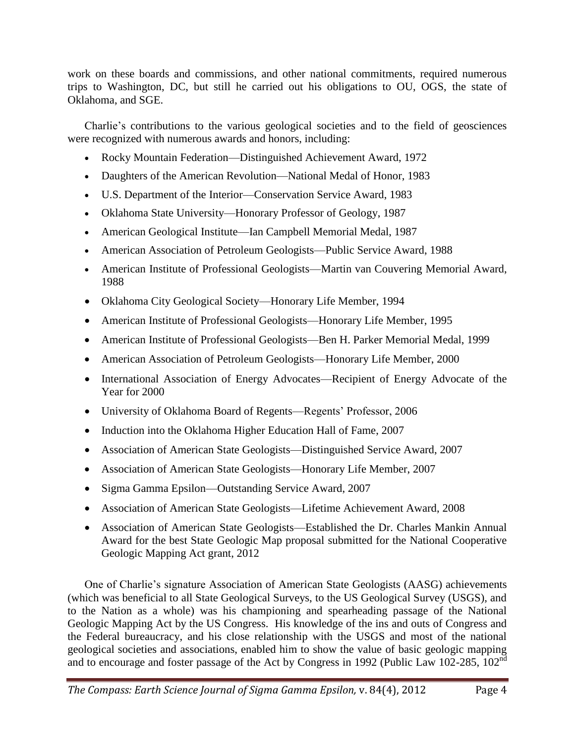work on these boards and commissions, and other national commitments, required numerous trips to Washington, DC, but still he carried out his obligations to OU, OGS, the state of Oklahoma, and SGE.

Charlie's contributions to the various geological societies and to the field of geosciences were recognized with numerous awards and honors, including:

- Rocky Mountain Federation—Distinguished Achievement Award, 1972
- Daughters of the American Revolution—National Medal of Honor, 1983
- U.S. Department of the Interior—Conservation Service Award, 1983
- Oklahoma State University—Honorary Professor of Geology, 1987
- American Geological Institute—Ian Campbell Memorial Medal, 1987
- American Association of Petroleum Geologists—Public Service Award, 1988
- American Institute of Professional Geologists—Martin van Couvering Memorial Award, 1988
- Oklahoma City Geological Society—Honorary Life Member, 1994
- American Institute of Professional Geologists—Honorary Life Member, 1995
- American Institute of Professional Geologists—Ben H. Parker Memorial Medal, 1999
- American Association of Petroleum Geologists—Honorary Life Member, 2000
- International Association of Energy Advocates—Recipient of Energy Advocate of the Year for 2000
- University of Oklahoma Board of Regents—Regents' Professor, 2006
- Induction into the Oklahoma Higher Education Hall of Fame, 2007
- Association of American State Geologists—Distinguished Service Award, 2007
- Association of American State Geologists—Honorary Life Member, 2007
- Sigma Gamma Epsilon—Outstanding Service Award, 2007
- Association of American State Geologists—Lifetime Achievement Award, 2008
- Association of American State Geologists—Established the Dr. Charles Mankin Annual Award for the best State Geologic Map proposal submitted for the National Cooperative Geologic Mapping Act grant, 2012

One of Charlie's signature Association of American State Geologists (AASG) achievements (which was beneficial to all State Geological Surveys, to the US Geological Survey (USGS), and to the Nation as a whole) was his championing and spearheading passage of the National Geologic Mapping Act by the US Congress. His knowledge of the ins and outs of Congress and the Federal bureaucracy, and his close relationship with the USGS and most of the national geological societies and associations, enabled him to show the value of basic geologic mapping and to encourage and foster passage of the Act by Congress in 1992 (Public Law 102-285, 102<sup>nd</sup>